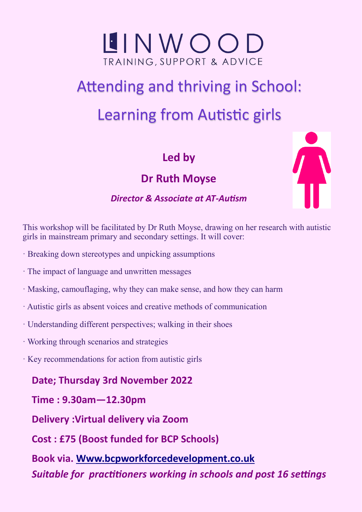

## Attending and thriving in School: Learning from Autistic girls

**Led by**

**Dr Ruth Moyse**



## *Director & Associate at AT-Autism*

This workshop will be facilitated by Dr Ruth Moyse, drawing on her research with autistic girls in mainstream primary and secondary settings. It will cover:

- · Breaking down stereotypes and unpicking assumptions
- · The impact of language and unwritten messages
- · Masking, camouflaging, why they can make sense, and how they can harm
- · Autistic girls as absent voices and creative methods of communication
- · Understanding different perspectives; walking in their shoes
- · Working through scenarios and strategies
- · Key recommendations for action from autistic girls

**Date; Thursday 3rd November 2022**

**Time : 9.30am—12.30pm**

**Delivery :Virtual delivery via Zoom**

**Cost : £75 (Boost funded for BCP Schools)**

**Book via. [Www.bcpworkforcedevelopment.co.uk](https://www.bcpworkforcedevelopment.co.uk/courses/bookings/c_detail.asp?cid=23594&iscancelled=0&curpage=1&keyword=&ds=1&unconfirmed=&cs=&subid=&keystage=255&sdate=&searchcode=&asearch=&tutid=&estid=&sday=&smonth=&syear=&targetid=&cal=1&calday=3&calmonth=11)**

*Suitable for practitioners working in schools and post 16 settings*